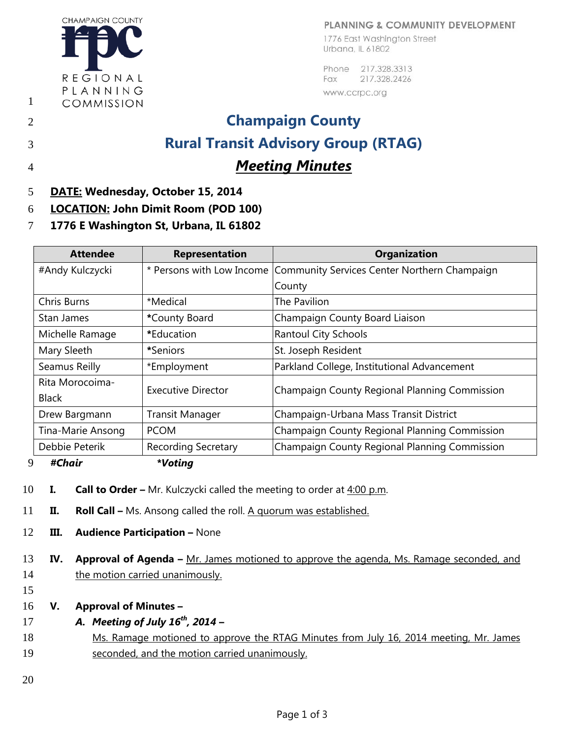## PLANNING & COMMUNITY DEVELOPMENT

**CHAMPAIGN COUNTY** REGIONAL PLANNING COMMISSION

1776 East Washington Street Urbana, IL 61802

Phone 217.328.3313 Fax 217.328.2426 www.ccrpc.org

## 2 **Champaign County** 3 **Rural Transit Advisory Group (RTAG)** 4 *Meeting Minutes*

1

- 5 **DATE: Wednesday, October 15, 2014**
- 6 **LOCATION: John Dimit Room (POD 100)**
- 7 **1776 E Washington St, Urbana, IL 61802**

| <b>Attendee</b>                         | <b>Representation</b>      | <b>Organization</b>                                                      |  |
|-----------------------------------------|----------------------------|--------------------------------------------------------------------------|--|
| #Andy Kulczycki                         |                            | * Persons with Low Income   Community Services Center Northern Champaign |  |
|                                         |                            | County                                                                   |  |
| Chris Burns                             | *Medical                   | The Pavilion                                                             |  |
| Stan James                              | *County Board              | Champaign County Board Liaison                                           |  |
| Michelle Ramage                         | *Education                 | <b>Rantoul City Schools</b>                                              |  |
| Mary Sleeth                             | *Seniors                   | St. Joseph Resident                                                      |  |
| Seamus Reilly                           | *Employment                | Parkland College, Institutional Advancement                              |  |
| Rita Morocoima-                         | <b>Executive Director</b>  | Champaign County Regional Planning Commission                            |  |
| <b>Black</b>                            |                            |                                                                          |  |
| <b>Transit Manager</b><br>Drew Bargmann |                            | Champaign-Urbana Mass Transit District                                   |  |
| Tina-Marie Ansong                       | <b>PCOM</b>                | Champaign County Regional Planning Commission                            |  |
| Debbie Peterik                          | <b>Recording Secretary</b> | Champaign County Regional Planning Commission                            |  |

- 9 *#Chair \*Voting*
- 10 **I. Call to Order –** Mr. Kulczycki called the meeting to order at 4:00 p.m.
- 11 **II. Roll Call –** Ms. Ansong called the roll. A quorum was established.
- 12 **III. Audience Participation –** None
- 13 **IV. Approval of Agenda –** Mr. James motioned to approve the agenda, Ms. Ramage seconded, and 14 the motion carried unanimously.
- 15
- 16 **V. Approval of Minutes –**
- *A.**Meeting of July 16<sup>th</sup>, 2014*
- 18 Ms. Ramage motioned to approve the RTAG Minutes from July 16, 2014 meeting, Mr. James 19 seconded, and the motion carried unanimously.
- 20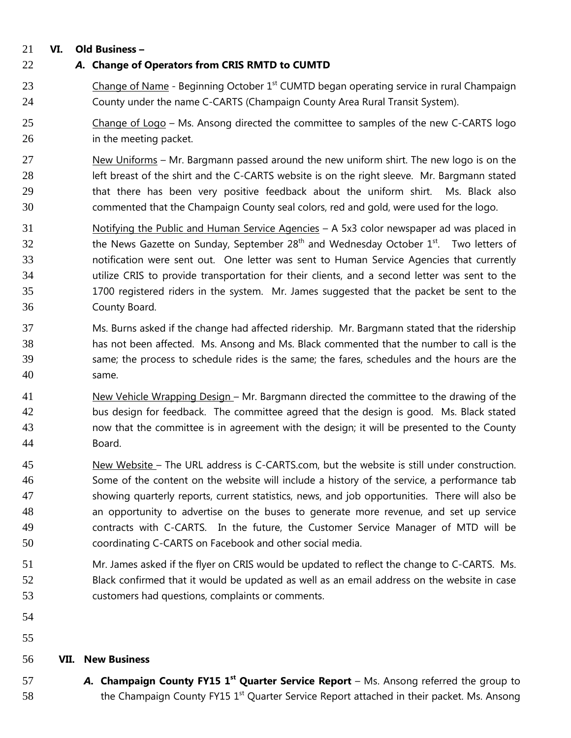## **VI. Old Business –**

- *A.* **Change of Operators from CRIS RMTD to CUMTD**
- 23 Change of Name Beginning October  $1<sup>st</sup>$  CUMTD began operating service in rural Champaign County under the name C-CARTS (Champaign County Area Rural Transit System).
- Change of Logo Ms. Ansong directed the committee to samples of the new C-CARTS logo in the meeting packet.
- New Uniforms Mr. Bargmann passed around the new uniform shirt. The new logo is on the left breast of the shirt and the C-CARTS website is on the right sleeve. Mr. Bargmann stated that there has been very positive feedback about the uniform shirt. Ms. Black also commented that the Champaign County seal colors, red and gold, were used for the logo.
- Notifying the Public and Human Service Agencies A 5x3 color newspaper ad was placed in the News Gazette on Sunday, September  $28<sup>th</sup>$  and Wednesday October  $1<sup>st</sup>$ . Two letters of notification were sent out. One letter was sent to Human Service Agencies that currently utilize CRIS to provide transportation for their clients, and a second letter was sent to the 1700 registered riders in the system. Mr. James suggested that the packet be sent to the County Board.
- Ms. Burns asked if the change had affected ridership. Mr. Bargmann stated that the ridership has not been affected. Ms. Ansong and Ms. Black commented that the number to call is the same; the process to schedule rides is the same; the fares, schedules and the hours are the same.
- New Vehicle Wrapping Design Mr. Bargmann directed the committee to the drawing of the bus design for feedback. The committee agreed that the design is good. Ms. Black stated now that the committee is in agreement with the design; it will be presented to the County Board.
- New Website The URL address is C-CARTS.com, but the website is still under construction. Some of the content on the website will include a history of the service, a performance tab showing quarterly reports, current statistics, news, and job opportunities. There will also be an opportunity to advertise on the buses to generate more revenue, and set up service contracts with C-CARTS. In the future, the Customer Service Manager of MTD will be coordinating C-CARTS on Facebook and other social media.
- Mr. James asked if the flyer on CRIS would be updated to reflect the change to C-CARTS. Ms. Black confirmed that it would be updated as well as an email address on the website in case customers had questions, complaints or comments.
- 
- 

## **VII. New Business**

**A.** Champaign County FY15 1<sup>st</sup> Quarter Service Report – Ms. Ansong referred the group to 58 the Champaign County FY15  $1<sup>st</sup>$  Quarter Service Report attached in their packet. Ms. Ansong